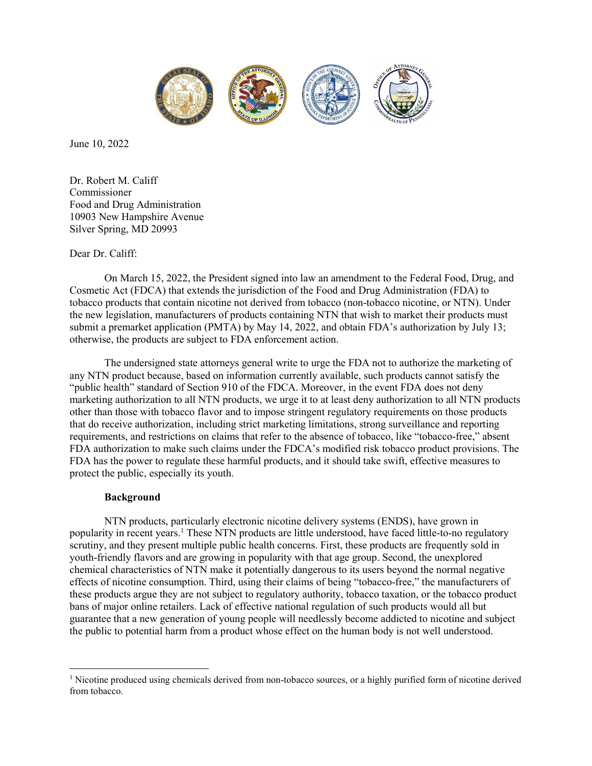

June 10, 2022

Dr. Robert M. Califf Commissioner Food and Drug Administration 10903 New Hampshire Avenue Silver Spring, MD 20993

## Dear Dr. Califf:

On March 15, 2022, the President signed into law an amendment to the Federal Food, Drug, and Cosmetic Act (FDCA) that extends the jurisdiction of the Food and Drug Administration (FDA) to tobacco products that contain nicotine not derived from tobacco (non-tobacco nicotine, or NTN). Under the new legislation, manufacturers of products containing NTN that wish to market their products must submit a premarket application (PMTA) by May 14, 2022, and obtain FDA's authorization by July 13; otherwise, the products are subject to FDA enforcement action.

The undersigned state attorneys general write to urge the FDA not to authorize the marketing of any NTN product because, based on information currently available, such products cannot satisfy the "public health" standard of Section 910 of the FDCA. Moreover, in the event FDA does not deny marketing authorization to all NTN products, we urge it to at least deny authorization to all NTN products other than those with tobacco flavor and to impose stringent regulatory requirements on those products that do receive authorization, including strict marketing limitations, strong surveillance and reporting requirements, and restrictions on claims that refer to the absence of tobacco, like "tobacco-free," absent FDA authorization to make such claims under the FDCA's modified risk tobacco product provisions. The FDA has the power to regulate these harmful products, and it should take swift, effective measures to protect the public, especially its youth.

# Background

 $\overline{a}$ 

NTN products, particularly electronic nicotine delivery systems (ENDS), have grown in popularity in recent years.<sup>1</sup> These NTN products are little understood, have faced little-to-no regulatory scrutiny, and they present multiple public health concerns. First, these products are frequently sold in youth-friendly flavors and are growing in popularity with that age group. Second, the unexplored chemical characteristics of NTN make it potentially dangerous to its users beyond the normal negative effects of nicotine consumption. Third, using their claims of being "tobacco-free," the manufacturers of these products argue they are not subject to regulatory authority, tobacco taxation, or the tobacco product bans of major online retailers. Lack of effective national regulation of such products would all but guarantee that a new generation of young people will needlessly become addicted to nicotine and subject the public to potential harm from a product whose effect on the human body is not well understood.

<sup>&</sup>lt;sup>1</sup> Nicotine produced using chemicals derived from non-tobacco sources, or a highly purified form of nicotine derived from tobacco.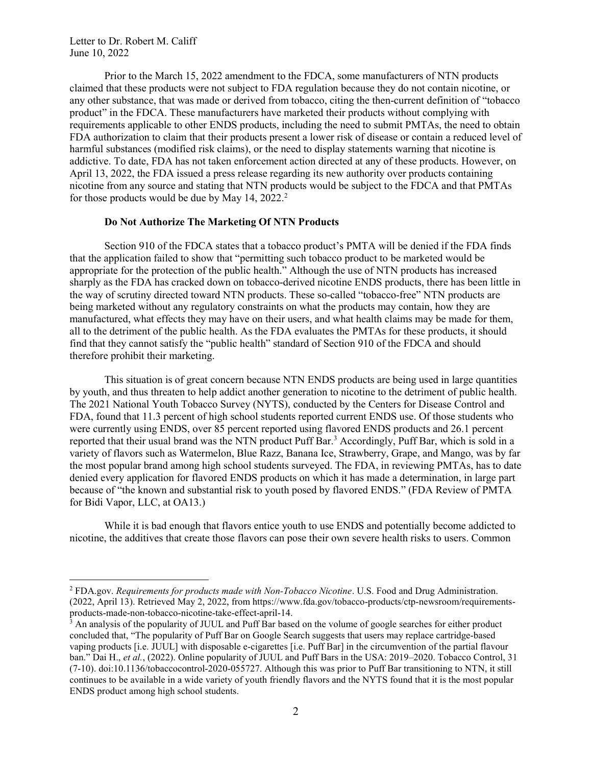$\overline{a}$ 

Prior to the March 15, 2022 amendment to the FDCA, some manufacturers of NTN products claimed that these products were not subject to FDA regulation because they do not contain nicotine, or any other substance, that was made or derived from tobacco, citing the then-current definition of "tobacco product" in the FDCA. These manufacturers have marketed their products without complying with requirements applicable to other ENDS products, including the need to submit PMTAs, the need to obtain FDA authorization to claim that their products present a lower risk of disease or contain a reduced level of harmful substances (modified risk claims), or the need to display statements warning that nicotine is addictive. To date, FDA has not taken enforcement action directed at any of these products. However, on April 13, 2022, the FDA issued a press release regarding its new authority over products containing nicotine from any source and stating that NTN products would be subject to the FDCA and that PMTAs for those products would be due by May 14,  $2022.<sup>2</sup>$ 

#### Do Not Authorize The Marketing Of NTN Products

Section 910 of the FDCA states that a tobacco product's PMTA will be denied if the FDA finds that the application failed to show that "permitting such tobacco product to be marketed would be appropriate for the protection of the public health." Although the use of NTN products has increased sharply as the FDA has cracked down on tobacco-derived nicotine ENDS products, there has been little in the way of scrutiny directed toward NTN products. These so-called "tobacco-free" NTN products are being marketed without any regulatory constraints on what the products may contain, how they are manufactured, what effects they may have on their users, and what health claims may be made for them, all to the detriment of the public health. As the FDA evaluates the PMTAs for these products, it should find that they cannot satisfy the "public health" standard of Section 910 of the FDCA and should therefore prohibit their marketing.

This situation is of great concern because NTN ENDS products are being used in large quantities by youth, and thus threaten to help addict another generation to nicotine to the detriment of public health. The 2021 National Youth Tobacco Survey (NYTS), conducted by the Centers for Disease Control and FDA, found that 11.3 percent of high school students reported current ENDS use. Of those students who were currently using ENDS, over 85 percent reported using flavored ENDS products and 26.1 percent reported that their usual brand was the NTN product Puff Bar.<sup>3</sup> Accordingly, Puff Bar, which is sold in a variety of flavors such as Watermelon, Blue Razz, Banana Ice, Strawberry, Grape, and Mango, was by far the most popular brand among high school students surveyed. The FDA, in reviewing PMTAs, has to date denied every application for flavored ENDS products on which it has made a determination, in large part because of "the known and substantial risk to youth posed by flavored ENDS." (FDA Review of PMTA for Bidi Vapor, LLC, at OA13.)

While it is bad enough that flavors entice youth to use ENDS and potentially become addicted to nicotine, the additives that create those flavors can pose their own severe health risks to users. Common

 $^2$  FDA.gov. Requirements for products made with Non-Tobacco Nicotine. U.S. Food and Drug Administration. (2022, April 13). Retrieved May 2, 2022, from https://www.fda.gov/tobacco-products/ctp-newsroom/requirementsproducts-made-non-tobacco-nicotine-take-effect-april-14.

<sup>&</sup>lt;sup>3</sup> An analysis of the popularity of JUUL and Puff Bar based on the volume of google searches for either product concluded that, "The popularity of Puff Bar on Google Search suggests that users may replace cartridge-based vaping products [i.e. JUUL] with disposable e-cigarettes [i.e. Puff Bar] in the circumvention of the partial flavour ban." Dai H., et al., (2022). Online popularity of JUUL and Puff Bars in the USA: 2019–2020. Tobacco Control, 31 (7-10). doi:10.1136/tobaccocontrol-2020-055727. Although this was prior to Puff Bar transitioning to NTN, it still continues to be available in a wide variety of youth friendly flavors and the NYTS found that it is the most popular ENDS product among high school students.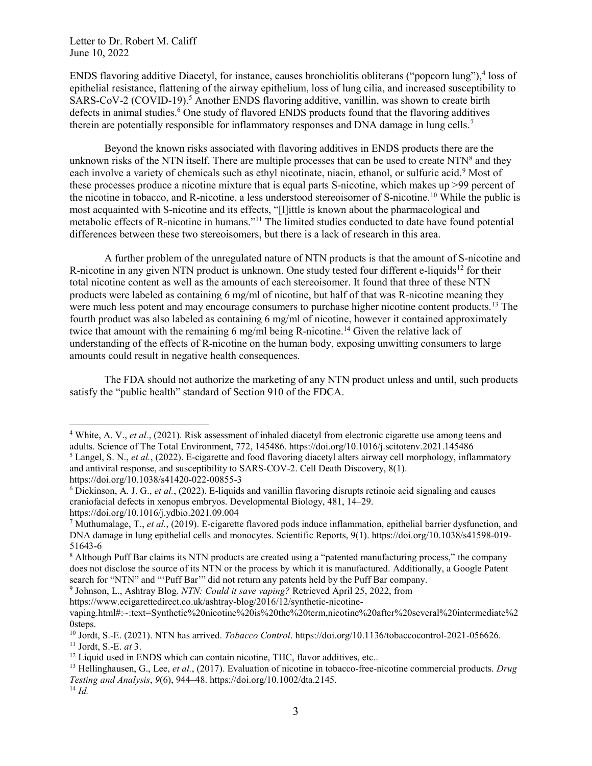ENDS flavoring additive Diacetyl, for instance, causes bronchiolitis obliterans ("popcorn lung"),<sup>4</sup> loss of epithelial resistance, flattening of the airway epithelium, loss of lung cilia, and increased susceptibility to SARS-CoV-2 (COVID-19).<sup>5</sup> Another ENDS flavoring additive, vanillin, was shown to create birth defects in animal studies.<sup>6</sup> One study of flavored ENDS products found that the flavoring additives therein are potentially responsible for inflammatory responses and DNA damage in lung cells.<sup>7</sup>

Beyond the known risks associated with flavoring additives in ENDS products there are the unknown risks of the NTN itself. There are multiple processes that can be used to create NTN $8$  and they each involve a variety of chemicals such as ethyl nicotinate, niacin, ethanol, or sulfuric acid.<sup>9</sup> Most of these processes produce a nicotine mixture that is equal parts S-nicotine, which makes up >99 percent of the nicotine in tobacco, and R-nicotine, a less understood stereoisomer of S-nicotine.<sup>10</sup> While the public is most acquainted with S-nicotine and its effects, "[l]ittle is known about the pharmacological and metabolic effects of R-nicotine in humans."<sup>11</sup> The limited studies conducted to date have found potential differences between these two stereoisomers, but there is a lack of research in this area.

A further problem of the unregulated nature of NTN products is that the amount of S-nicotine and R-nicotine in any given NTN product is unknown. One study tested four different e-liquids<sup>12</sup> for their total nicotine content as well as the amounts of each stereoisomer. It found that three of these NTN products were labeled as containing 6 mg/ml of nicotine, but half of that was R-nicotine meaning they were much less potent and may encourage consumers to purchase higher nicotine content products.<sup>13</sup> The fourth product was also labeled as containing 6 mg/ml of nicotine, however it contained approximately twice that amount with the remaining 6 mg/ml being R-nicotine.<sup>14</sup> Given the relative lack of understanding of the effects of R-nicotine on the human body, exposing unwitting consumers to large amounts could result in negative health consequences.

The FDA should not authorize the marketing of any NTN product unless and until, such products satisfy the "public health" standard of Section 910 of the FDCA.

https://www.ecigarettedirect.co.uk/ashtray-blog/2016/12/synthetic-nicotine-

 $\overline{a}$ 

<sup>&</sup>lt;sup>4</sup> White, A. V., et al., (2021). Risk assessment of inhaled diacetyl from electronic cigarette use among teens and adults. Science of The Total Environment, 772, 145486. https://doi.org/10.1016/j.scitotenv.2021.145486

<sup>&</sup>lt;sup>5</sup> Langel, S. N., *et al.*, (2022). E-cigarette and food flavoring diacetyl alters airway cell morphology, inflammatory and antiviral response, and susceptibility to SARS-COV-2. Cell Death Discovery, 8(1).

https://doi.org/10.1038/s41420-022-00855-3

<sup>&</sup>lt;sup>6</sup> Dickinson, A. J. G., *et al.*, (2022). E-liquids and vanillin flavoring disrupts retinoic acid signaling and causes craniofacial defects in xenopus embryos. Developmental Biology, 481, 14–29.

https://doi.org/10.1016/j.ydbio.2021.09.004

<sup>&</sup>lt;sup>7</sup> Muthumalage, T., *et al.*, (2019). E-cigarette flavored pods induce inflammation, epithelial barrier dysfunction, and DNA damage in lung epithelial cells and monocytes. Scientific Reports, 9(1). https://doi.org/10.1038/s41598-019- 51643-6

<sup>&</sup>lt;sup>8</sup> Although Puff Bar claims its NTN products are created using a "patented manufacturing process," the company does not disclose the source of its NTN or the process by which it is manufactured. Additionally, a Google Patent search for "NTN" and "'Puff Bar'" did not return any patents held by the Puff Bar company.

<sup>&</sup>lt;sup>9</sup> Johnson, L., Ashtray Blog. NTN: Could it save vaping? Retrieved April 25, 2022, from

vaping.html#:~:text=Synthetic%20nicotine%20is%20the%20term,nicotine%20after%20several%20intermediate%2 0steps.

<sup>&</sup>lt;sup>10</sup> Jordt, S.-E. (2021). NTN has arrived. *Tobacco Control*. https://doi.org/10.1136/tobaccocontrol-2021-056626.  $11$  Jordt, S.-E. *at* 3.

<sup>&</sup>lt;sup>12</sup> Liquid used in ENDS which can contain nicotine, THC, flavor additives, etc..

<sup>&</sup>lt;sup>13</sup> Hellinghausen, G., Lee, *et al.*, (2017). Evaluation of nicotine in tobacco-free-nicotine commercial products. Drug Testing and Analysis, 9(6), 944–48. https://doi.org/10.1002/dta.2145.

 $^{14}$  *Id.*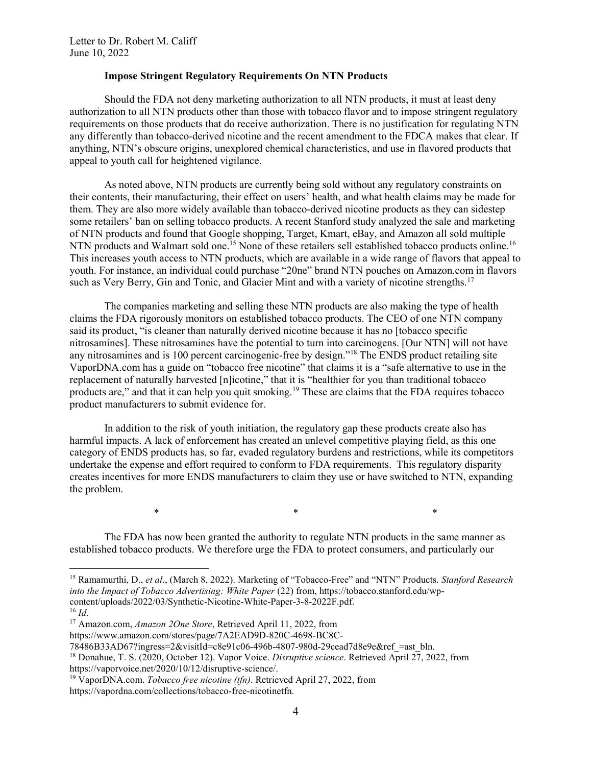### Impose Stringent Regulatory Requirements On NTN Products

Should the FDA not deny marketing authorization to all NTN products, it must at least deny authorization to all NTN products other than those with tobacco flavor and to impose stringent regulatory requirements on those products that do receive authorization. There is no justification for regulating NTN any differently than tobacco-derived nicotine and the recent amendment to the FDCA makes that clear. If anything, NTN's obscure origins, unexplored chemical characteristics, and use in flavored products that appeal to youth call for heightened vigilance.

As noted above, NTN products are currently being sold without any regulatory constraints on their contents, their manufacturing, their effect on users' health, and what health claims may be made for them. They are also more widely available than tobacco-derived nicotine products as they can sidestep some retailers' ban on selling tobacco products. A recent Stanford study analyzed the sale and marketing of NTN products and found that Google shopping, Target, Kmart, eBay, and Amazon all sold multiple NTN products and Walmart sold one.<sup>15</sup> None of these retailers sell established tobacco products online.<sup>16</sup> This increases youth access to NTN products, which are available in a wide range of flavors that appeal to youth. For instance, an individual could purchase "20ne" brand NTN pouches on Amazon.com in flavors such as Very Berry, Gin and Tonic, and Glacier Mint and with a variety of nicotine strengths.<sup>17</sup>

The companies marketing and selling these NTN products are also making the type of health claims the FDA rigorously monitors on established tobacco products. The CEO of one NTN company said its product, "is cleaner than naturally derived nicotine because it has no [tobacco specific nitrosamines]. These nitrosamines have the potential to turn into carcinogens. [Our NTN] will not have any nitrosamines and is 100 percent carcinogenic-free by design."<sup>18</sup> The ENDS product retailing site VaporDNA.com has a guide on "tobacco free nicotine" that claims it is a "safe alternative to use in the replacement of naturally harvested [n]icotine," that it is "healthier for you than traditional tobacco products are," and that it can help you quit smoking.<sup>19</sup> These are claims that the FDA requires tobacco product manufacturers to submit evidence for.

In addition to the risk of youth initiation, the regulatory gap these products create also has harmful impacts. A lack of enforcement has created an unlevel competitive playing field, as this one category of ENDS products has, so far, evaded regulatory burdens and restrictions, while its competitors undertake the expense and effort required to conform to FDA requirements. This regulatory disparity creates incentives for more ENDS manufacturers to claim they use or have switched to NTN, expanding the problem.

The FDA has now been granted the authority to regulate NTN products in the same manner as established tobacco products. We therefore urge the FDA to protect consumers, and particularly our

 $*$  \*  $*$  \*  $*$ 

 $\overline{a}$ 

<sup>&</sup>lt;sup>15</sup> Ramamurthi, D., et al., (March 8, 2022). Marketing of "Tobacco-Free" and "NTN" Products. Stanford Research into the Impact of Tobacco Advertising: White Paper (22) from, https://tobacco.stanford.edu/wpcontent/uploads/2022/03/Synthetic-Nicotine-White-Paper-3-8-2022F.pdf.

 $16$  *Id.* 

<sup>&</sup>lt;sup>17</sup> Amazon.com, Amazon 2One Store, Retrieved April 11, 2022, from

https://www.amazon.com/stores/page/7A2EAD9D-820C-4698-BC8C-

<sup>78486</sup>B33AD67?ingress=2&visitId=c8e91c06-496b-4807-980d-29cead7d8e9e&ref\_=ast\_bln.

<sup>&</sup>lt;sup>18</sup> Donahue, T. S. (2020, October 12). Vapor Voice. Disruptive science. Retrieved April 27, 2022, from https://vaporvoice.net/2020/10/12/disruptive-science/.

<sup>&</sup>lt;sup>19</sup> VaporDNA.com. *Tobacco free nicotine (tfn)*. Retrieved April 27, 2022, from

https://vapordna.com/collections/tobacco-free-nicotinetfn.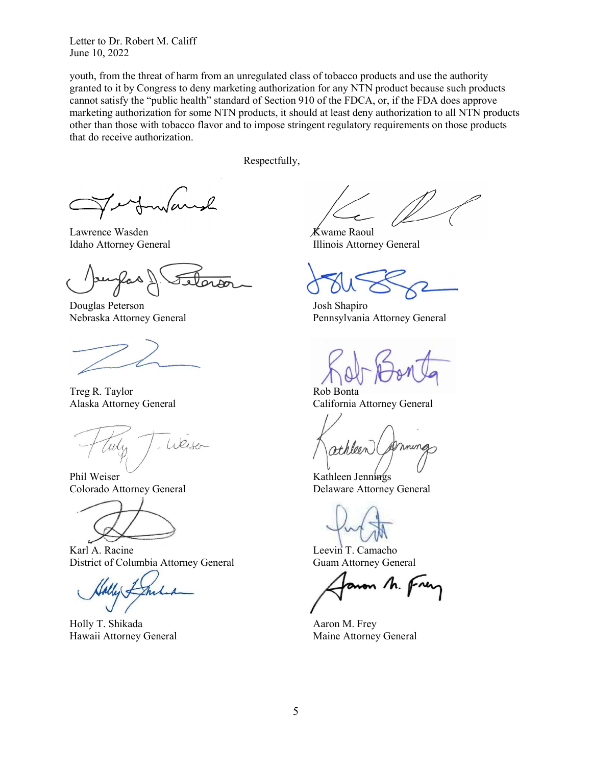youth, from the threat of harm from an unregulated class of tobacco products and use the authority granted to it by Congress to deny marketing authorization for any NTN product because such products cannot satisfy the "public health" standard of Section 910 of the FDCA, or, if the FDA does approve marketing authorization for some NTN products, it should at least deny authorization to all NTN products other than those with tobacco flavor and to impose stringent regulatory requirements on those products that do receive authorization.

Respectfully,

Lawrence Wasden Kwame Raoul

Douglas Peterson Josh Shapiro

Treg R. Taylor Rob Bonta

Weiser

Phil Weiser Kathleen Jennings



Karl A. Racine Leevin T. Camacho District of Columbia Attorney General Guam Attorney General

Holly T. Shikada Aaron M. Frey Hawaii Attorney General Maine Attorney General

Idaho Attorney General **Illinois Attorney General** 

Nebraska Attorney General Pennsylvania Attorney General

Alaska Attorney General California Attorney General

Colorado Attorney General Delaware Attorney General

von M. fre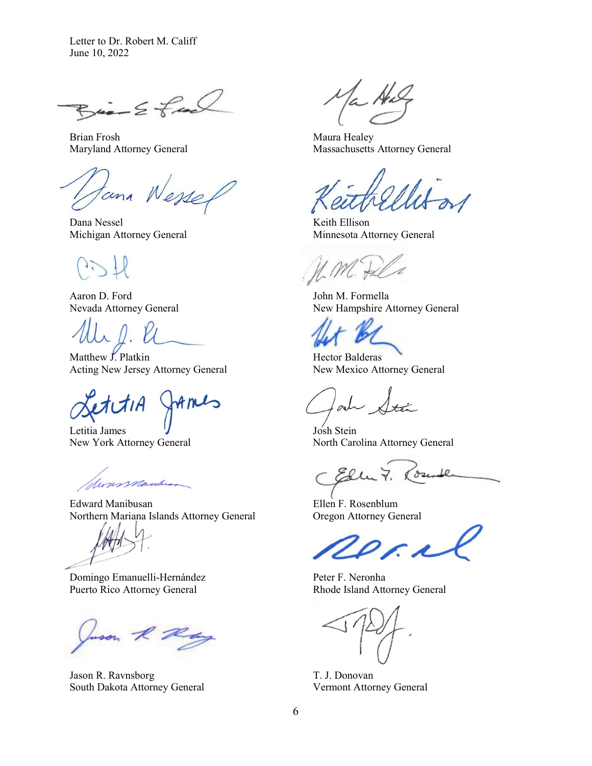$Bia-2$  feed

Brian Frosh Maura Healey

tana Wesse

Dana Nessel Keith Ellison

Aaron D. Ford John M. Formella

Matthew J. Platkin Hector Balderas Acting New Jersey Attorney General New Mexico Attorney General

Letitia James  $J$  Josh Stein

terns marchean

Edward Manibusan **Ellen F. Rosenblum** Northern Mariana Islands Attorney General Oregon Attorney General

Domingo Emanuelli-Hernández Peter F. Neronha Puerto Rico Attorney General Rhode Island Attorney General

heson R Ray

Jason R. Ravnsborg T. J. Donovan South Dakota Attorney General Vermont Attorney General

Has

Maryland Attorney General Massachusetts Attorney General

Michigan Attorney General Minnesota Attorney General

Nevada Attorney General New Hampshire Attorney General

New York Attorney General North Carolina Attorney General

Elle 7. ్రా